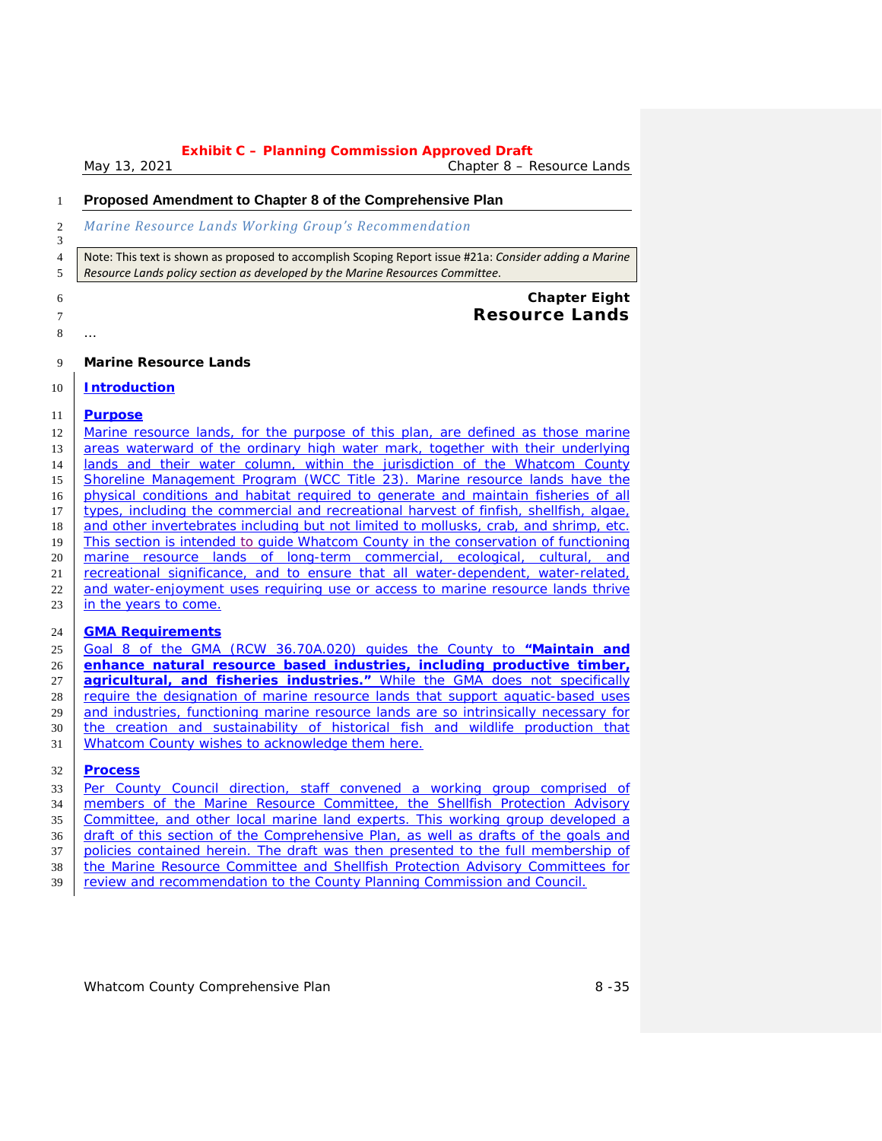*May 13, 2021 Chapter 8 – Resource Lands*

### **Proposed Amendment to Chapter 8 of the Comprehensive Plan**

#### *Marine Resource Lands Working Group's Recommendation*

 Note: This text is shown as proposed to accomplish Scoping Report issue #21a: *Consider adding a Marine Resource Lands policy section as developed by the Marine Resources Committee*.

- **Chapter Eight Resource Lands**
- …

**Marine Resource Lands**

### **Introduction**

### **Purpose**

12 Marine resource lands, for the purpose of this plan, are defined as those marine 13 areas waterward of the ordinary high water mark, together with their underlying **and is and their water column, within the jurisdiction of the Whatcom County**  Shoreline Management Program (WCC Title 23). Marine resource lands have the physical conditions and habitat required to generate and maintain fisheries of all types, including the commercial and recreational harvest of finfish, shellfish, algae, and other invertebrates including but not limited to mollusks, crab, and shrimp, etc. This section is intended to guide Whatcom County in the conservation of functioning marine resource lands of long-term commercial, ecological, cultural, and recreational significance, and to ensure that all water-dependent, water-related, 22 and water-enjoyment uses requiring use or access to marine resource lands thrive 23 in the years to come.

### **GMA Requirements**

 Goal 8 of the GMA (RCW 36.70A.020) guides the County to *"Maintain and enhance natural resource based industries, including productive timber, agricultural, and fisheries industries."* While the GMA does not specifically require the designation of marine resource lands that support aquatic-based uses and industries, functioning marine resource lands are so intrinsically necessary for the creation and sustainability of historical fish and wildlife production that Whatcom County wishes to acknowledge them here.

### **Process**

 Per County Council direction, staff convened a working group comprised of members of the Marine Resource Committee, the Shellfish Protection Advisory Committee, and other local marine land experts. This working group developed a draft of this section of the Comprehensive Plan, as well as drafts of the goals and 37 | policies contained herein. The draft was then presented to the full membership of the Marine Resource Committee and Shellfish Protection Advisory Committees for review and recommendation to the County Planning Commission and Council.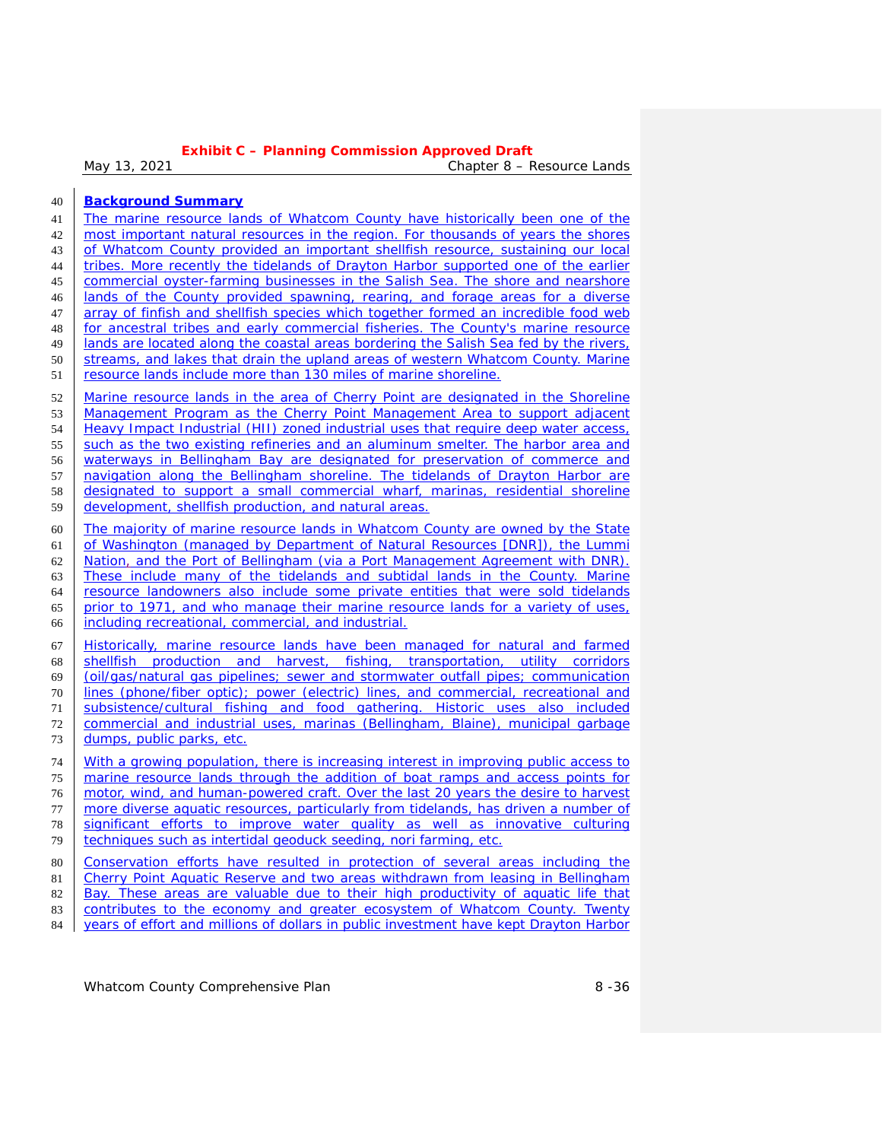*May 13, 2021 Chapter 8 – Resource Lands*

- **Background Summary** 41 The marine resource lands of Whatcom County have historically been one of the most important natural resources in the region. For thousands of years the shores of Whatcom County provided an important shellfish resource, sustaining our local tribes. More recently the tidelands of Drayton Harbor supported one of the earlier commercial oyster-farming businesses in the Salish Sea. The shore and nearshore lands of the County provided spawning, rearing, and forage areas for a diverse 47 array of finfish and shellfish species which together formed an incredible food web for ancestral tribes and early commercial fisheries. The County's marine resource lands are located along the coastal areas bordering the Salish Sea fed by the rivers, streams, and lakes that drain the upland areas of western Whatcom County. Marine resource lands include more than 130 miles of marine shoreline. Marine resource lands in the area of Cherry Point are designated in the Shoreline Management Program as the Cherry Point Management Area to support adjacent 54 | Heavy Impact Industrial (HII) zoned industrial uses that require deep water access, 55 such as the two existing refineries and an aluminum smelter. The harbor area and waterways in Bellingham Bay are designated for preservation of commerce and navigation along the Bellingham shoreline. The tidelands of Drayton Harbor are designated to support a small commercial wharf, marinas, residential shoreline development, shellfish production, and natural areas. The majority of marine resource lands in Whatcom County are owned by the State of Washington (managed by Department of Natural Resources [DNR]), the Lummi Nation, and the Port of Bellingham (via a Port Management Agreement with DNR). These include many of the tidelands and subtidal lands in the County. Marine resource landowners also include some private entities that were sold tidelands prior to 1971, and who manage their marine resource lands for a variety of uses, including recreational, commercial, and industrial. Historically, marine resource lands have been managed for natural and farmed shellfish production and harvest, fishing, transportation, utility corridors (oil/gas/natural gas pipelines; sewer and stormwater outfall pipes; communication lines (phone/fiber optic); power (electric) lines, and commercial, recreational and subsistence/cultural fishing and food gathering. Historic uses also included commercial and industrial uses, marinas (Bellingham, Blaine), municipal garbage dumps, public parks, etc. With a growing population, there is increasing interest in improving public access to marine resource lands through the addition of boat ramps and access points for motor, wind, and human-powered craft. Over the last 20 years the desire to harvest 77 more diverse aquatic resources, particularly from tidelands, has driven a number of 78 significant efforts to improve water quality as well as innovative culturing techniques such as intertidal geoduck seeding, nori farming, etc. Conservation efforts have resulted in protection of several areas including the 81 Cherry Point Aquatic Reserve and two areas withdrawn from leasing in Bellingham Bay. These areas are valuable due to their high productivity of aquatic life that
- contributes to the economy and greater ecosystem of Whatcom County. Twenty 84 years of effort and millions of dollars in public investment have kept Drayton Harbor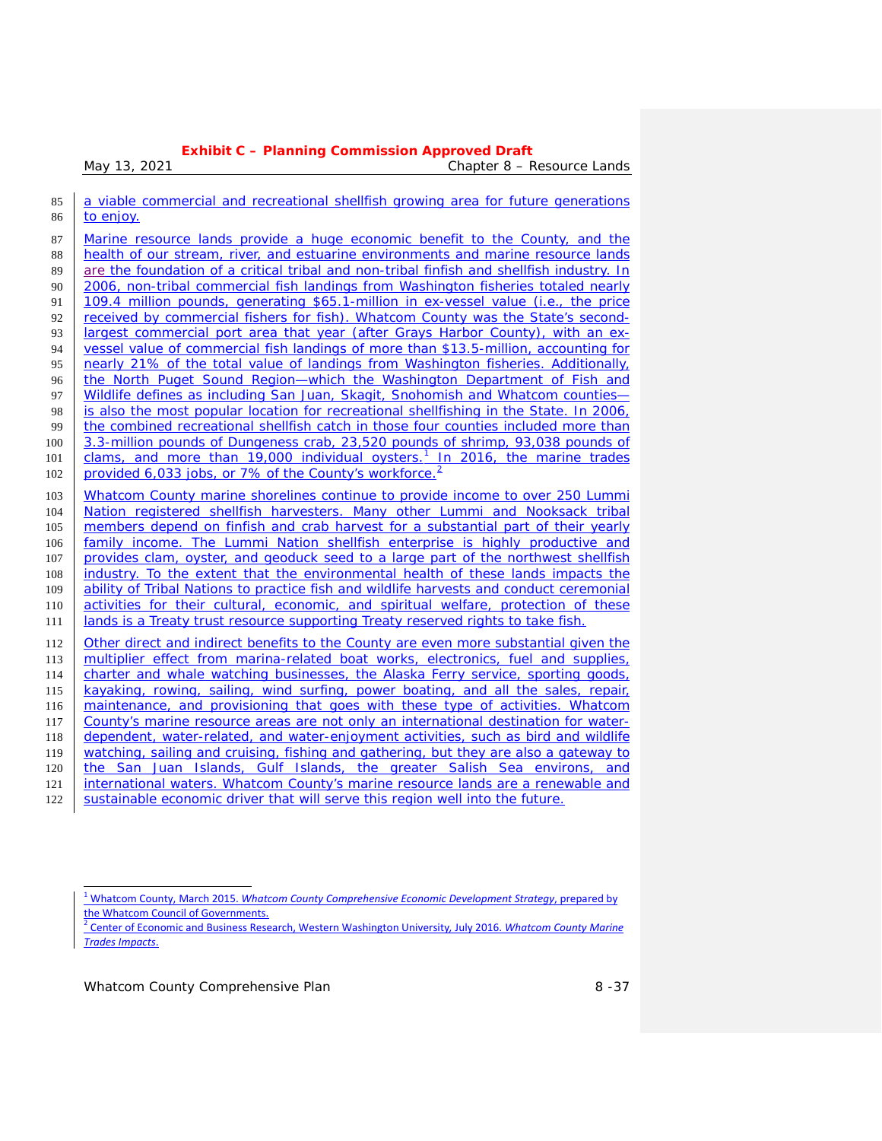*May 13, 2021 Chapter 8 – Resource Lands*

| 85  | a viable commercial and recreational shellfish growing area for future generations        |  |  |
|-----|-------------------------------------------------------------------------------------------|--|--|
| 86  | to enjoy.                                                                                 |  |  |
| 87  | Marine resource lands provide a huge economic benefit to the County, and the              |  |  |
| 88  | health of our stream, river, and estuarine environments and marine resource lands         |  |  |
| 89  | are the foundation of a critical tribal and non-tribal finfish and shellfish industry. In |  |  |
| 90  | 2006, non-tribal commercial fish landings from Washington fisheries totaled nearly        |  |  |
| 91  | 109.4 million pounds, generating \$65.1-million in ex-vessel value (i.e., the price       |  |  |
| 92  | received by commercial fishers for fish). Whatcom County was the State's second-          |  |  |
| 93  | largest commercial port area that year (after Grays Harbor County), with an ex-           |  |  |
| 94  | vessel value of commercial fish landings of more than \$13.5-million, accounting for      |  |  |
| 95  | nearly 21% of the total value of landings from Washington fisheries. Additionally,        |  |  |
| 96  | the North Puget Sound Region—which the Washington Department of Fish and                  |  |  |
| 97  | Wildlife defines as including San Juan, Skagit, Snohomish and Whatcom counties-           |  |  |
| 98  | is also the most popular location for recreational shellfishing in the State. In 2006,    |  |  |
| 99  | the combined recreational shellfish catch in those four counties included more than       |  |  |
| 100 | 3.3-million pounds of Dungeness crab, 23,520 pounds of shrimp, 93,038 pounds of           |  |  |
| 101 | clams, and more than 19,000 individual oysters. <sup>1</sup> In 2016, the marine trades   |  |  |
| 102 | provided 6,033 jobs, or 7% of the County's workforce. <sup>2</sup>                        |  |  |
| 103 | Whatcom County marine shorelines continue to provide income to over 250 Lummi             |  |  |
| 104 | Nation registered shellfish harvesters. Many other Lummi and Nooksack tribal              |  |  |
| 105 | members depend on finfish and crab harvest for a substantial part of their yearly         |  |  |
| 106 | family income. The Lummi Nation shellfish enterprise is highly productive and             |  |  |
| 107 | provides clam, oyster, and geoduck seed to a large part of the northwest shellfish        |  |  |
| 108 | industry. To the extent that the environmental health of these lands impacts the          |  |  |
| 109 | ability of Tribal Nations to practice fish and wildlife harvests and conduct ceremonial   |  |  |
| 110 | activities for their cultural, economic, and spiritual welfare, protection of these       |  |  |
| 111 | lands is a Treaty trust resource supporting Treaty reserved rights to take fish.          |  |  |
| 112 | Other direct and indirect benefits to the County are even more substantial given the      |  |  |
| 113 | multiplier effect from marina-related boat works, electronics, fuel and supplies,         |  |  |
| 114 | charter and whale watching businesses, the Alaska Ferry service, sporting goods,          |  |  |
| 115 | kayaking, rowing, sailing, wind surfing, power boating, and all the sales, repair,        |  |  |
| 116 | maintenance, and provisioning that goes with these type of activities. Whatcom            |  |  |
| 117 | County's marine resource areas are not only an international destination for water-       |  |  |
| 118 | dependent, water-related, and water-enjoyment activities, such as bird and wildlife       |  |  |
| 119 | watching, sailing and cruising, fishing and gathering, but they are also a gateway to     |  |  |
| 120 | the San Juan Islands, Gulf Islands, the greater Salish Sea environs, and                  |  |  |
| 121 | international waters. Whatcom County's marine resource lands are a renewable and          |  |  |
| 122 | sustainable economic driver that will serve this region well into the future.             |  |  |

<sup>1</sup> Whatcom County, March 2015. *Whatcom County Comprehensive Economic Development Strategy*, prepared by

<span id="page-2-1"></span><span id="page-2-0"></span>the Whatcom Council of Governments. <sup>2</sup> Center of Economic and Business Research, Western Washington University*,* July 2016. *Whatcom County Marine Trades Impacts*.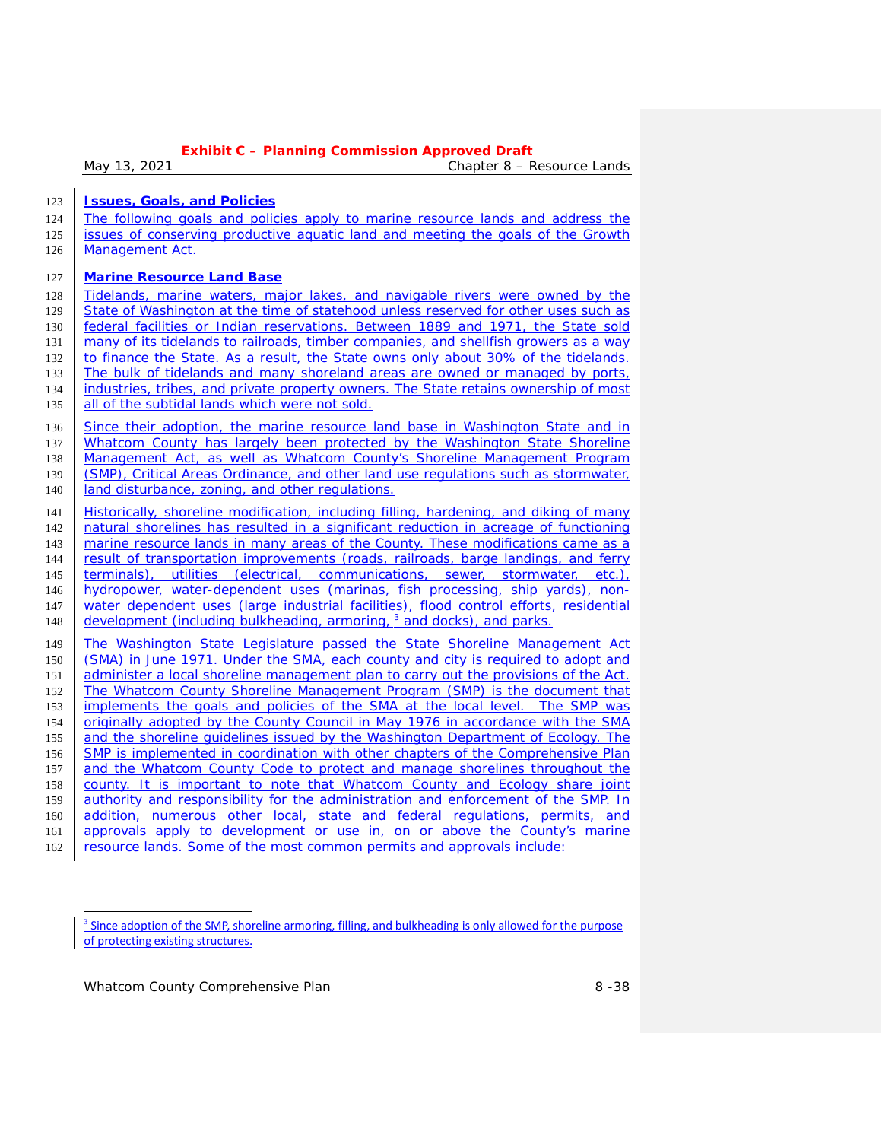*May 13, 2021 Chapter 8 – Resource Lands*

**Issues, Goals, and Policies**

 The following goals and policies apply to marine resource lands and address the issues of conserving productive aquatic land and meeting the goals of the Growth Management Act.

### **Marine Resource Land Base**

128 Tidelands, marine waters, major lakes, and navigable rivers were owned by the State of Washington at the time of statehood unless reserved for other uses such as federal facilities or Indian reservations. Between 1889 and 1971, the State sold 131 many of its tidelands to railroads, timber companies, and shellfish growers as a way 132 to finance the State. As a result, the State owns only about 30% of the tidelands. The bulk of tidelands and many shoreland areas are owned or managed by ports, industries, tribes, and private property owners. The State retains ownership of most 135 all of the subtidal lands which were not sold.

136 Since their adoption, the marine resource land base in Washington State and in 137 Whatcom County has largely been protected by the Washington State Shoreline Management Act, as well as Whatcom County's Shoreline Management Program (SMP), Critical Areas Ordinance, and other land use regulations such as stormwater, **land disturbance, zoning, and other regulations.** 

 Historically, shoreline modification, including filling, hardening, and diking of many natural shorelines has resulted in a significant reduction in acreage of functioning marine resource lands in many areas of the County. These modifications came as a result of transportation improvements (roads, railroads, barge landings, and ferry terminals), utilities (electrical, communications, sewer, stormwater, etc.), hydropower, water-dependent uses (marinas, fish processing, ship yards), non- water dependent uses (large industrial facilities), flood control efforts, residential 148 development (including bulkheading, armoring, and docks), and parks.

 The Washington State Legislature passed the State Shoreline Management Act (SMA) in June 1971. Under the SMA, each county and city is required to adopt and 151 administer a local shoreline management plan to carry out the provisions of the Act. The Whatcom County Shoreline Management Program (SMP) is the document that implements the goals and policies of the SMA at the local level. The SMP was 154 originally adopted by the County Council in May 1976 in accordance with the SMA and the shoreline guidelines issued by the Washington Department of Ecology. The SMP is implemented in coordination with other chapters of the Comprehensive Plan 157 and the Whatcom County Code to protect and manage shorelines throughout the county. It is important to note that Whatcom County and Ecology share joint 159 authority and responsibility for the administration and enforcement of the SMP. In 160 addition, numerous other local, state and federal regulations, permits, and approvals apply to development or use in, on or above the County's marine resource lands. Some of the most common permits and approvals include:

<span id="page-3-0"></span> Since adoption of the SMP, shoreline armoring, filling, and bulkheading is only allowed for the purpose of protecting existing structures.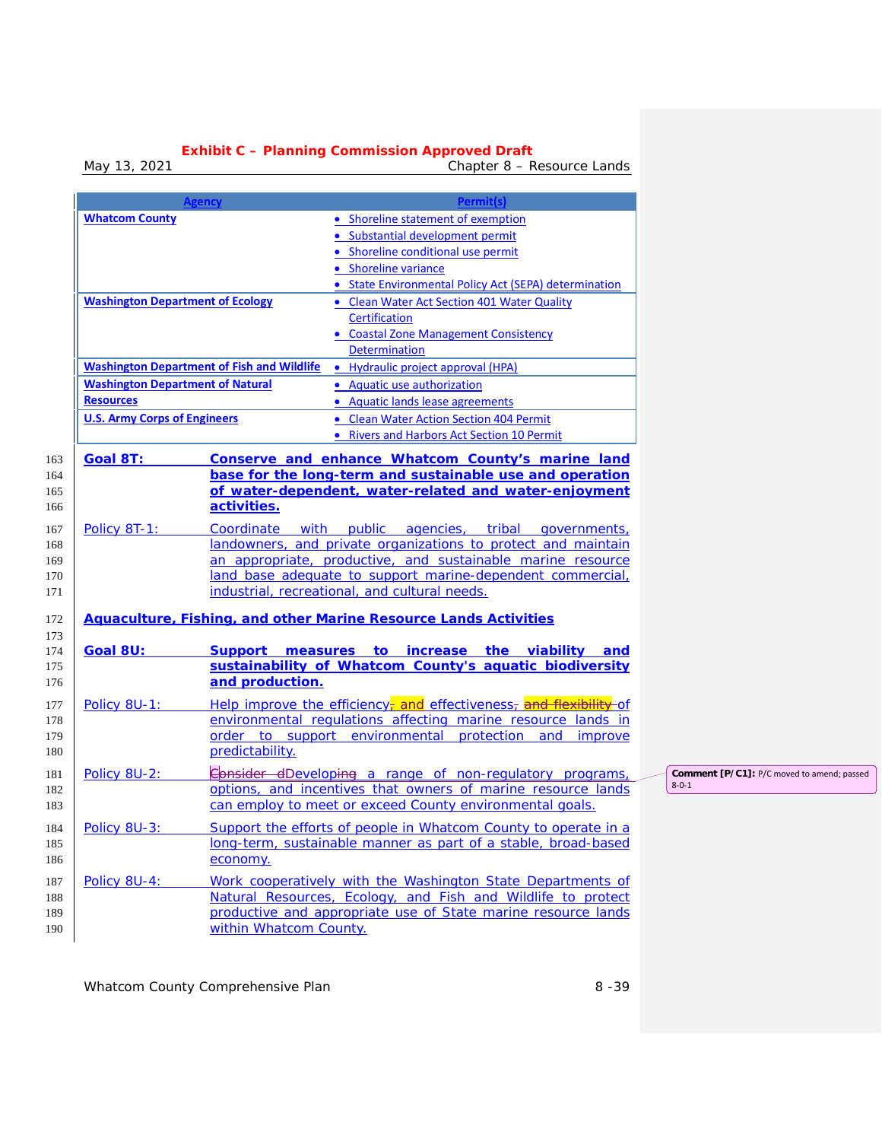*May 13, 2021 Chapter 8 – Resource Lands*

|                                         | <b>Agency</b>                                     | <b>Permit(s)</b>                                                                                                  |                                            |
|-----------------------------------------|---------------------------------------------------|-------------------------------------------------------------------------------------------------------------------|--------------------------------------------|
| <b>Whatcom County</b>                   |                                                   | • Shoreline statement of exemption                                                                                |                                            |
|                                         |                                                   | · Substantial development permit                                                                                  |                                            |
|                                         |                                                   | • Shoreline conditional use permit                                                                                |                                            |
|                                         |                                                   | • Shoreline variance                                                                                              |                                            |
|                                         |                                                   | • State Environmental Policy Act (SEPA) determination                                                             |                                            |
| <b>Washington Department of Ecology</b> |                                                   | • Clean Water Act Section 401 Water Quality                                                                       |                                            |
|                                         |                                                   | <b>Certification</b>                                                                                              |                                            |
|                                         |                                                   | • Coastal Zone Management Consistency                                                                             |                                            |
|                                         |                                                   | Determination                                                                                                     |                                            |
|                                         | <b>Washington Department of Fish and Wildlife</b> | • Hydraulic project approval (HPA)                                                                                |                                            |
| <b>Washington Department of Natural</b> |                                                   | • Aquatic use authorization                                                                                       |                                            |
| <b>Resources</b>                        |                                                   | • Aquatic lands lease agreements                                                                                  |                                            |
| <b>U.S. Army Corps of Engineers</b>     |                                                   | • Clean Water Action Section 404 Permit                                                                           |                                            |
|                                         |                                                   | • Rivers and Harbors Act Section 10 Permit                                                                        |                                            |
|                                         |                                                   |                                                                                                                   |                                            |
| <b>Goal 8T:</b>                         |                                                   | Conserve and enhance Whatcom County's marine land                                                                 |                                            |
|                                         |                                                   | base for the long-term and sustainable use and operation<br>of water-dependent, water-related and water-enjoyment |                                            |
|                                         | activities.                                       |                                                                                                                   |                                            |
|                                         |                                                   |                                                                                                                   |                                            |
| Policy 8T-1:                            |                                                   | Coordinate with public agencies, tribal governments,                                                              |                                            |
|                                         |                                                   | landowners, and private organizations to protect and maintain                                                     |                                            |
|                                         |                                                   | an appropriate, productive, and sustainable marine resource                                                       |                                            |
|                                         |                                                   | land base adequate to support marine-dependent commercial,<br>industrial, recreational, and cultural needs.       |                                            |
|                                         |                                                   |                                                                                                                   |                                            |
|                                         |                                                   | <b>Aquaculture, Fishing, and other Marine Resource Lands Activities</b>                                           |                                            |
|                                         |                                                   |                                                                                                                   |                                            |
| Goal 8U:                                |                                                   | Support measures to increase the viability and                                                                    |                                            |
|                                         |                                                   | sustainability of Whatcom County's aquatic biodiversity                                                           |                                            |
|                                         | and production.                                   |                                                                                                                   |                                            |
| Policy 8U-1:                            |                                                   | Help improve the efficiency <sub>r</sub> and effectiveness <sub>r</sub> and flexibility of                        |                                            |
|                                         |                                                   | environmental regulations affecting marine resource lands in                                                      |                                            |
|                                         |                                                   | order to support environmental protection and improve                                                             |                                            |
|                                         | predictability.                                   |                                                                                                                   |                                            |
| Policy 8U-2:                            |                                                   | Consider dDeveloping a range of non-regulatory programs,                                                          | Comment [P/C1]: P/C moved to amend; passed |
|                                         |                                                   | options, and incentives that owners of marine resource lands                                                      | $8 - 0 - 1$                                |
|                                         |                                                   | can employ to meet or exceed County environmental goals.                                                          |                                            |
| Policy 8U-3:<br>184                     |                                                   | Support the efforts of people in Whatcom County to operate in a                                                   |                                            |
|                                         |                                                   | long-term, sustainable manner as part of a stable, broad-based                                                    |                                            |
|                                         | economy.                                          |                                                                                                                   |                                            |
| Policy 8U-4:                            |                                                   | Work cooperatively with the Washington State Departments of                                                       |                                            |
|                                         |                                                   | Natural Resources, Ecology, and Fish and Wildlife to protect                                                      |                                            |
|                                         |                                                   | productive and appropriate use of State marine resource lands                                                     |                                            |
|                                         | within Whatcom County.                            |                                                                                                                   |                                            |
|                                         |                                                   |                                                                                                                   |                                            |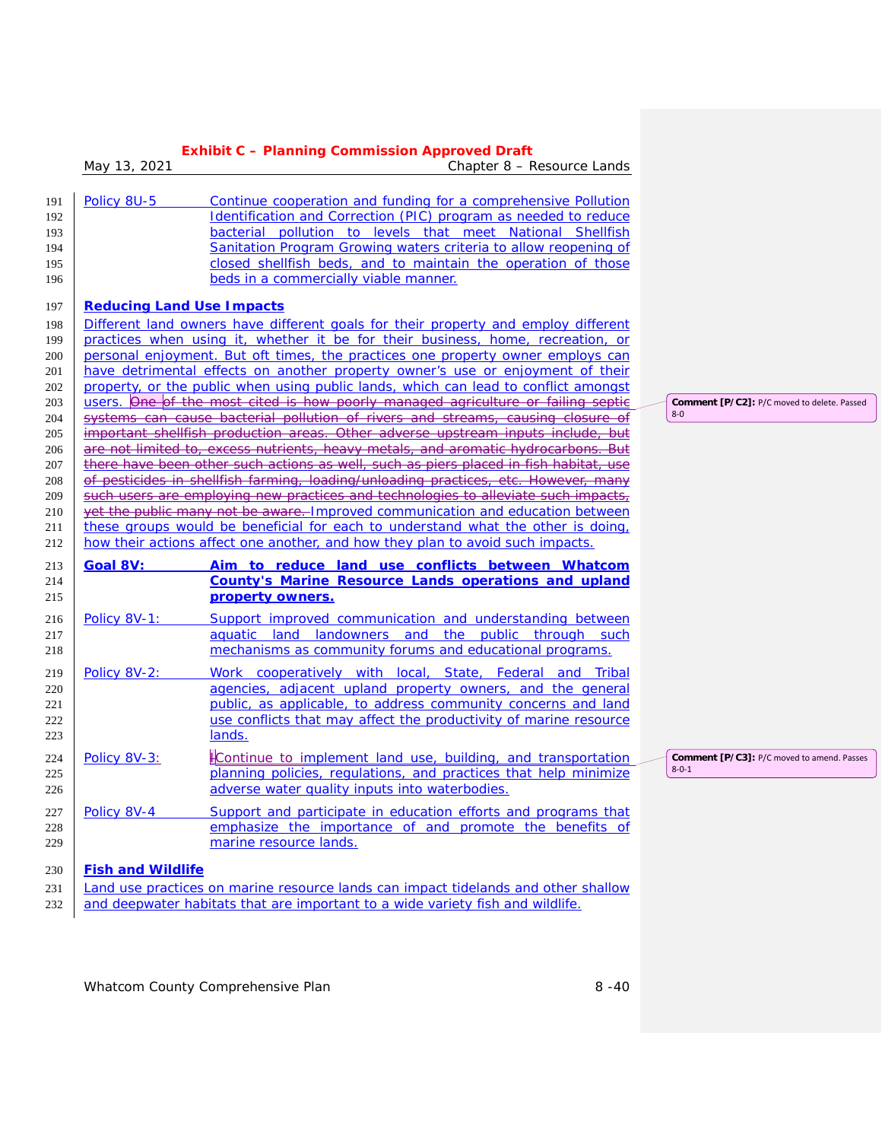|     | May 13, 2021                                                                                                                                                                 | Chapter 8 – Resource Lands                                                                                                              |                                                                  |  |  |  |
|-----|------------------------------------------------------------------------------------------------------------------------------------------------------------------------------|-----------------------------------------------------------------------------------------------------------------------------------------|------------------------------------------------------------------|--|--|--|
|     |                                                                                                                                                                              |                                                                                                                                         |                                                                  |  |  |  |
| 191 | Policy 8U-5                                                                                                                                                                  | Continue cooperation and funding for a comprehensive Pollution                                                                          |                                                                  |  |  |  |
| 192 |                                                                                                                                                                              | Identification and Correction (PIC) program as needed to reduce                                                                         |                                                                  |  |  |  |
| 193 |                                                                                                                                                                              | bacterial pollution to levels that meet National Shellfish                                                                              |                                                                  |  |  |  |
| 194 |                                                                                                                                                                              | Sanitation Program Growing waters criteria to allow reopening of                                                                        |                                                                  |  |  |  |
| 195 |                                                                                                                                                                              | closed shellfish beds, and to maintain the operation of those                                                                           |                                                                  |  |  |  |
| 196 |                                                                                                                                                                              | beds in a commercially viable manner.                                                                                                   |                                                                  |  |  |  |
| 197 | <b>Reducing Land Use Impacts</b>                                                                                                                                             |                                                                                                                                         |                                                                  |  |  |  |
| 198 |                                                                                                                                                                              | Different land owners have different goals for their property and employ different                                                      |                                                                  |  |  |  |
| 199 |                                                                                                                                                                              | practices when using it, whether it be for their business, home, recreation, or                                                         |                                                                  |  |  |  |
| 200 |                                                                                                                                                                              | personal enjoyment. But oft times, the practices one property owner employs can                                                         |                                                                  |  |  |  |
| 201 |                                                                                                                                                                              | have detrimental effects on another property owner's use or enjoyment of their                                                          |                                                                  |  |  |  |
| 202 |                                                                                                                                                                              | property, or the public when using public lands, which can lead to conflict amongst                                                     |                                                                  |  |  |  |
| 203 |                                                                                                                                                                              | users. One of the most cited is how poorly managed agriculture or failing septic                                                        | Comment [P/C2]: P/C moved to delete. Passed                      |  |  |  |
| 204 |                                                                                                                                                                              | systems can cause bacterial pollution of rivers and streams, causing closure of                                                         | $8-0$                                                            |  |  |  |
| 205 |                                                                                                                                                                              | important shellfish production areas. Other adverse upstream inputs include, but                                                        |                                                                  |  |  |  |
| 206 |                                                                                                                                                                              | are not limited to, excess nutrients, heavy metals, and aromatic hydrocarbons. But                                                      |                                                                  |  |  |  |
| 207 |                                                                                                                                                                              |                                                                                                                                         |                                                                  |  |  |  |
|     | there have been other such actions as well, such as piers placed in fish habitat, use<br>of pesticides in shellfish farming, loading/unloading practices, etc. However, many |                                                                                                                                         |                                                                  |  |  |  |
| 208 |                                                                                                                                                                              | such users are employing new practices and technologies to alleviate such impacts,                                                      |                                                                  |  |  |  |
| 209 |                                                                                                                                                                              | yet the public many not be aware. Improved communication and education between                                                          |                                                                  |  |  |  |
| 210 |                                                                                                                                                                              | these groups would be beneficial for each to understand what the other is doing,                                                        |                                                                  |  |  |  |
| 211 |                                                                                                                                                                              | how their actions affect one another, and how they plan to avoid such impacts.                                                          |                                                                  |  |  |  |
| 212 |                                                                                                                                                                              |                                                                                                                                         |                                                                  |  |  |  |
| 213 | Goal 8V:                                                                                                                                                                     | Aim to reduce land use conflicts between Whatcom                                                                                        |                                                                  |  |  |  |
| 214 |                                                                                                                                                                              | <b>County's Marine Resource Lands operations and upland</b>                                                                             |                                                                  |  |  |  |
| 215 |                                                                                                                                                                              | property owners.                                                                                                                        |                                                                  |  |  |  |
| 216 | Policy 8V-1:                                                                                                                                                                 | Support improved communication and understanding between                                                                                |                                                                  |  |  |  |
| 217 |                                                                                                                                                                              | aquatic land landowners and the public through such                                                                                     |                                                                  |  |  |  |
| 218 |                                                                                                                                                                              | mechanisms as community forums and educational programs.                                                                                |                                                                  |  |  |  |
| 219 | Policy 8V-2:                                                                                                                                                                 | Work cooperatively with local, State, Federal and Tribal                                                                                |                                                                  |  |  |  |
| 220 |                                                                                                                                                                              | agencies, adjacent upland property owners, and the general                                                                              |                                                                  |  |  |  |
| 221 |                                                                                                                                                                              | public, as applicable, to address community concerns and land                                                                           |                                                                  |  |  |  |
| 222 |                                                                                                                                                                              | use conflicts that may affect the productivity of marine resource                                                                       |                                                                  |  |  |  |
| 223 |                                                                                                                                                                              | lands.                                                                                                                                  |                                                                  |  |  |  |
|     |                                                                                                                                                                              |                                                                                                                                         |                                                                  |  |  |  |
| 224 | Policy 8V-3:                                                                                                                                                                 | <b>Continue to implement land use, building, and transportation</b><br>planning policies, regulations, and practices that help minimize | <b>Comment [P/C3]:</b> P/C moved to amend. Passes<br>$8 - 0 - 1$ |  |  |  |
| 225 |                                                                                                                                                                              |                                                                                                                                         |                                                                  |  |  |  |
| 226 |                                                                                                                                                                              | adverse water quality inputs into waterbodies.                                                                                          |                                                                  |  |  |  |
| 227 | Policy 8V-4                                                                                                                                                                  | Support and participate in education efforts and programs that                                                                          |                                                                  |  |  |  |
| 228 |                                                                                                                                                                              | emphasize the importance of and promote the benefits of                                                                                 |                                                                  |  |  |  |
| 229 |                                                                                                                                                                              | marine resource lands.                                                                                                                  |                                                                  |  |  |  |
|     | <b>Fish and Wildlife</b>                                                                                                                                                     |                                                                                                                                         |                                                                  |  |  |  |
| 230 |                                                                                                                                                                              |                                                                                                                                         |                                                                  |  |  |  |
| 231 |                                                                                                                                                                              | Land use practices on marine resource lands can impact tidelands and other shallow                                                      |                                                                  |  |  |  |
| 232 |                                                                                                                                                                              | and deepwater habitats that are important to a wide variety fish and wildlife.                                                          |                                                                  |  |  |  |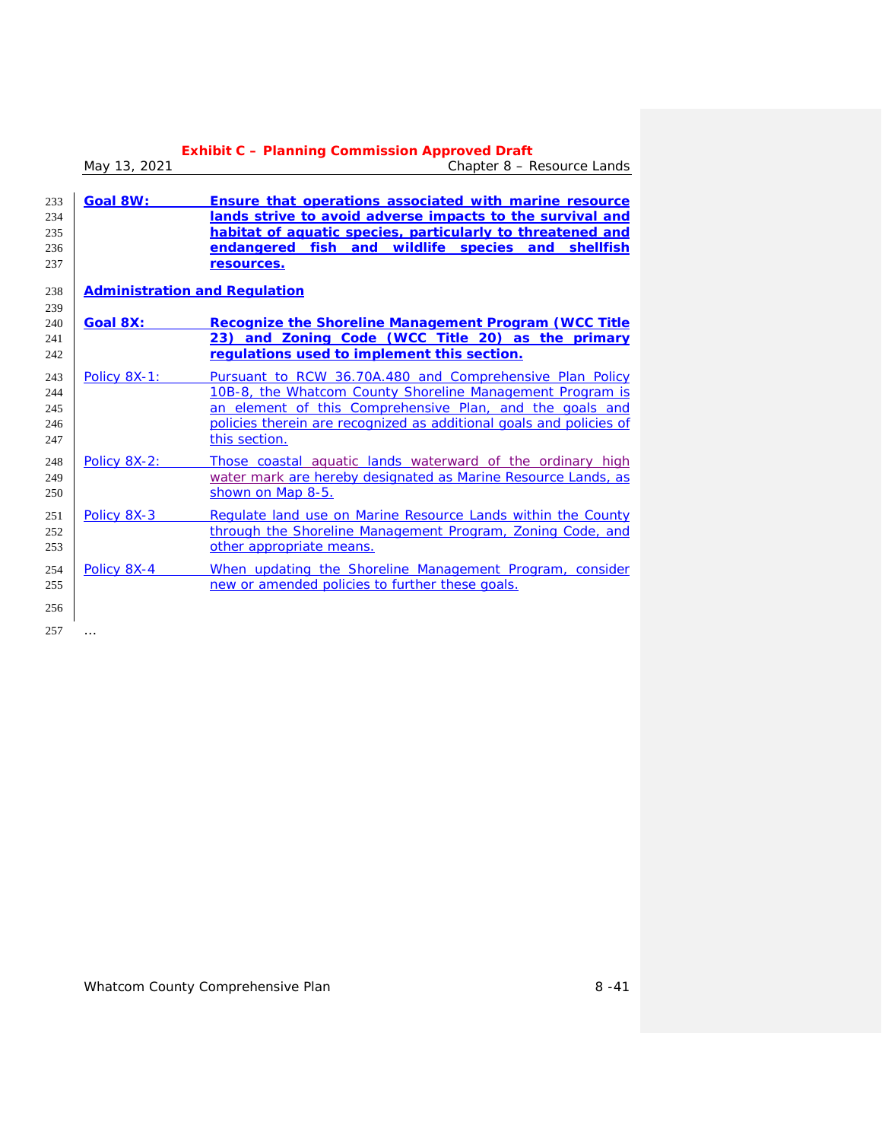|                                 | May 13, 2021    | <b>Exhibit C - Planning Commission Approved Draft</b><br>Chapter 8 - Resource Lands                                                                                                                                                                                       |  |  |
|---------------------------------|-----------------|---------------------------------------------------------------------------------------------------------------------------------------------------------------------------------------------------------------------------------------------------------------------------|--|--|
| 233<br>234<br>235<br>236<br>237 | Goal 8W:        | Ensure that operations associated with marine resource<br>lands strive to avoid adverse impacts to the survival and<br>habitat of aquatic species, particularly to threatened and<br>endangered fish and wildlife species and<br>shellfish<br>resources.                  |  |  |
| 238                             |                 | <b>Administration and Regulation</b>                                                                                                                                                                                                                                      |  |  |
| 239<br>240<br>241<br>242        | <b>Goal 8X:</b> | Recognize the Shoreline Management Program (WCC Title<br>23) and Zoning Code (WCC Title 20) as the primary<br>requlations used to implement this section.                                                                                                                 |  |  |
| 243<br>244<br>245<br>246<br>247 | Policy 8X-1:    | Pursuant to RCW 36.70A.480 and Comprehensive Plan Policy<br>10B-8, the Whatcom County Shoreline Management Program is<br>an element of this Comprehensive Plan, and the goals and<br>policies therein are recognized as additional goals and policies of<br>this section. |  |  |
| 248<br>249<br>250               | Policy 8X-2:    | Those coastal aquatic lands waterward of the ordinary high<br>water mark are hereby designated as Marine Resource Lands, as<br>shown on Map 8-5.                                                                                                                          |  |  |
| 251<br>252<br>253               | Policy 8X-3     | Requlate land use on Marine Resource Lands within the County<br>through the Shoreline Management Program, Zoning Code, and<br>other appropriate means.                                                                                                                    |  |  |
| 254<br>255                      | Policy 8X-4     | When updating the Shoreline Management Program, consider<br>new or amended policies to further these goals.                                                                                                                                                               |  |  |
| 256                             |                 |                                                                                                                                                                                                                                                                           |  |  |
| 257                             |                 |                                                                                                                                                                                                                                                                           |  |  |